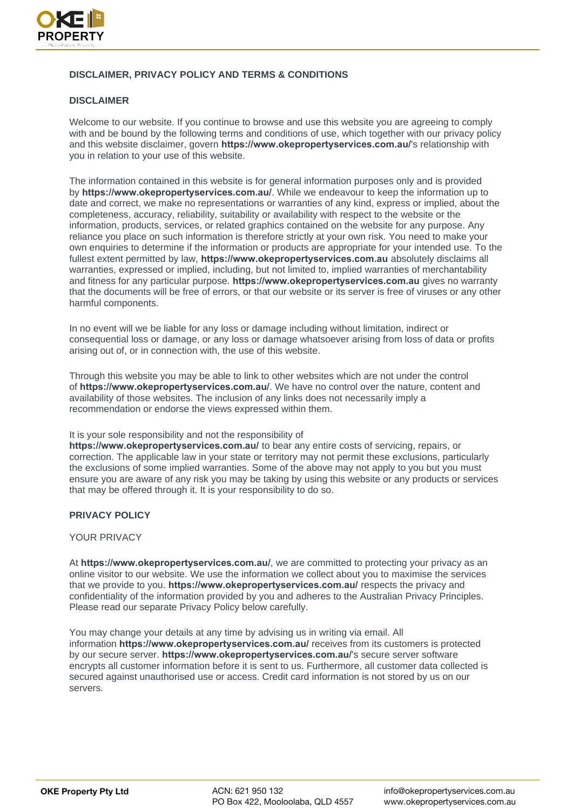

# **DISCLAIMER, PRIVACY POLICY AND TERMS & CONDITIONS**

# **DISCLAIMER**

Welcome to our website. If you continue to browse and use this website you are agreeing to comply with and be bound by the following terms and conditions of use, which together with our privacy policy and this website disclaimer, govern **[https://www.okepropertyservices](https://www.bespokeinvestment/).com.au/**'s relationship with you in relation to your use of this website.

The information contained in this website is for general information purposes only and is provided by **https://www.okepropertyservices.com.au/**. While we endeavour to keep the information up to date and correct, we make no representations or warranties of any kind, express or implied, about the completeness, accuracy, reliability, suitability or availability with respect to the website or the information, products, services, or related graphics contained on the website for any purpose. Any reliance you place on such information is therefore strictly at your own risk. You need to make your own enquiries to determine if the information or products are appropriate for your intended use. To the fullest extent permitted by law, **https://www.okepropertyservices.com.au** absolutely disclaims all warranties, expressed or implied, including, but not limited to, implied warranties of merchantability and fitness for any particular purpose. **https://www.okepropertyservices.com.au** gives no warranty that the documents will be free of errors, or that our website or its server is free of viruses or any other harmful components.

In no event will we be liable for any loss or damage including without limitation, indirect or consequential loss or damage, or any loss or damage whatsoever arising from loss of data or profits arising out of, or in connection with, the use of this website.

Through this website you may be able to link to other websites which are not under the control of **https://www.okepropertyservices.com.au/**. We have no control over the nature, content and availability of those websites. The inclusion of any links does not necessarily imply a recommendation or endorse the views expressed within them.

#### It is your sole responsibility and not the responsibility of

**https://www.okepropertyservices.com.au/** to bear any entire costs of servicing, repairs, or correction. The applicable law in your state or territory may not permit these exclusions, particularly the exclusions of some implied warranties. Some of the above may not apply to you but you must ensure you are aware of any risk you may be taking by using this website or any products or services that may be offered through it. It is your responsibility to do so.

# **PRIVACY POLICY**

#### YOUR PRIVACY

At **https://www.okepropertyservices.com.au/**, we are committed to protecting your privacy as an online visitor to our website. We use the information we collect about you to maximise the services that we provide to you. **https://www.okepropertyservices.com.au/** respects the privacy and confidentiality of the information provided by you and adheres to the Australian Privacy Principles. Please read our separate Privacy Policy below carefully.

You may change your details at any time by advising us in writing via email. All information **https://www.okepropertyservices.com.au/** receives from its customers is protected by our secure server. **https://www.okepropertyservices.com.au/**'s secure server software encrypts all customer information before it is sent to us. Furthermore, all customer data collected is secured against unauthorised use or access. Credit card information is not stored by us on our servers.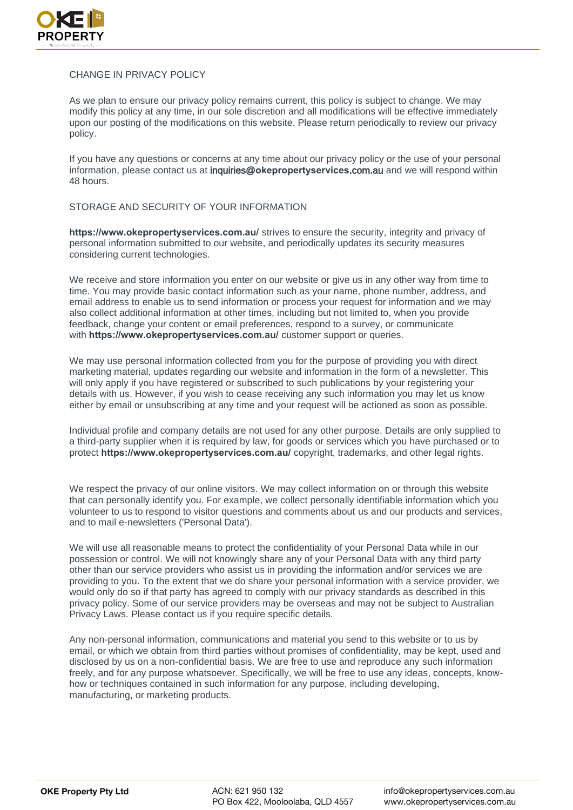

# CHANGE IN PRIVACY POLICY

As we plan to ensure our privacy policy remains current, this policy is subject to change. We may modify this policy at any time, in our sole discretion and all modifications will be effective immediately upon our posting of the modifications on this website. Please return periodically to review our privacy policy.

If you have any questions or concerns at any time about our privacy policy or the use of your personal information, please contact us at inquiries@**okepropertyservices**.com.au and we will respond within 48 hours.

### STORAGE AND SECURITY OF YOUR INFORMATION

**https://www.okepropertyservices.com.au/** strives to ensure the security, integrity and privacy of personal information submitted to our website, and periodically updates its security measures considering current technologies.

We receive and store information you enter on our website or give us in any other way from time to time. You may provide basic contact information such as your name, phone number, address, and email address to enable us to send information or process your request for information and we may also collect additional information at other times, including but not limited to, when you provide feedback, change your content or email preferences, respond to a survey, or communicate with **https://www.okepropertyservices.com.au/** customer support or queries.

We may use personal information collected from you for the purpose of providing you with direct marketing material, updates regarding our website and information in the form of a newsletter. This will only apply if you have registered or subscribed to such publications by your registering your details with us. However, if you wish to cease receiving any such information you may let us know either by email or unsubscribing at any time and your request will be actioned as soon as possible.

Individual profile and company details are not used for any other purpose. Details are only supplied to a third-party supplier when it is required by law, for goods or services which you have purchased or to protect **https://www.okepropertyservices.com.au/** copyright, trademarks, and other legal rights.

We respect the privacy of our online visitors. We may collect information on or through this website that can personally identify you. For example, we collect personally identifiable information which you volunteer to us to respond to visitor questions and comments about us and our products and services, and to mail e-newsletters ('Personal Data').

We will use all reasonable means to protect the confidentiality of your Personal Data while in our possession or control. We will not knowingly share any of your Personal Data with any third party other than our service providers who assist us in providing the information and/or services we are providing to you. To the extent that we do share your personal information with a service provider, we would only do so if that party has agreed to comply with our privacy standards as described in this privacy policy. Some of our service providers may be overseas and may not be subject to Australian Privacy Laws. Please contact us if you require specific details.

Any non-personal information, communications and material you send to this website or to us by email, or which we obtain from third parties without promises of confidentiality, may be kept, used and disclosed by us on a non-confidential basis. We are free to use and reproduce any such information freely, and for any purpose whatsoever. Specifically, we will be free to use any ideas, concepts, knowhow or techniques contained in such information for any purpose, including developing, manufacturing, or marketing products.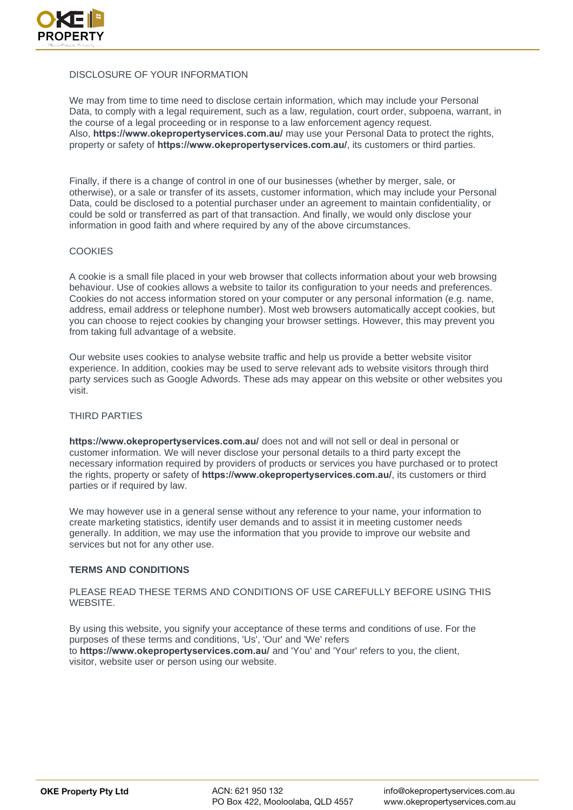

### DISCLOSURE OF YOUR INFORMATION

We may from time to time need to disclose certain information, which may include your Personal Data, to comply with a legal requirement, such as a law, regulation, court order, subpoena, warrant, in the course of a legal proceeding or in response to a law enforcement agency request. Also, **https://www.okepropertyservices.com.au/** may use your Personal Data to protect the rights, property or safety of **https://www.okepropertyservices.com.au/**, its customers or third parties.

Finally, if there is a change of control in one of our businesses (whether by merger, sale, or otherwise), or a sale or transfer of its assets, customer information, which may include your Personal Data, could be disclosed to a potential purchaser under an agreement to maintain confidentiality, or could be sold or transferred as part of that transaction. And finally, we would only disclose your information in good faith and where required by any of the above circumstances.

### **COOKIES**

A cookie is a small file placed in your web browser that collects information about your web browsing behaviour. Use of cookies allows a website to tailor its configuration to your needs and preferences. Cookies do not access information stored on your computer or any personal information (e.g. name, address, email address or telephone number). Most web browsers automatically accept cookies, but you can choose to reject cookies by changing your browser settings. However, this may prevent you from taking full advantage of a website.

Our website uses cookies to analyse website traffic and help us provide a better website visitor experience. In addition, cookies may be used to serve relevant ads to website visitors through third party services such as Google Adwords. These ads may appear on this website or other websites you visit.

#### THIRD PARTIES

**https://www.okepropertyservices.com.au/** does not and will not sell or deal in personal or customer information. We will never disclose your personal details to a third party except the necessary information required by providers of products or services you have purchased or to protect the rights, property or safety of **https://www.okepropertyservices.com.au/**, its customers or third parties or if required by law.

We may however use in a general sense without any reference to your name, your information to create marketing statistics, identify user demands and to assist it in meeting customer needs generally. In addition, we may use the information that you provide to improve our website and services but not for any other use.

# **TERMS AND CONDITIONS**

PLEASE READ THESE TERMS AND CONDITIONS OF USE CAREFULLY BEFORE USING THIS WEBSITE.

By using this website, you signify your acceptance of these terms and conditions of use. For the purposes of these terms and conditions, 'Us', 'Our' and 'We' refers to **https://www.okepropertyservices.com.au/** and 'You' and 'Your' refers to you, the client, visitor, website user or person using our website.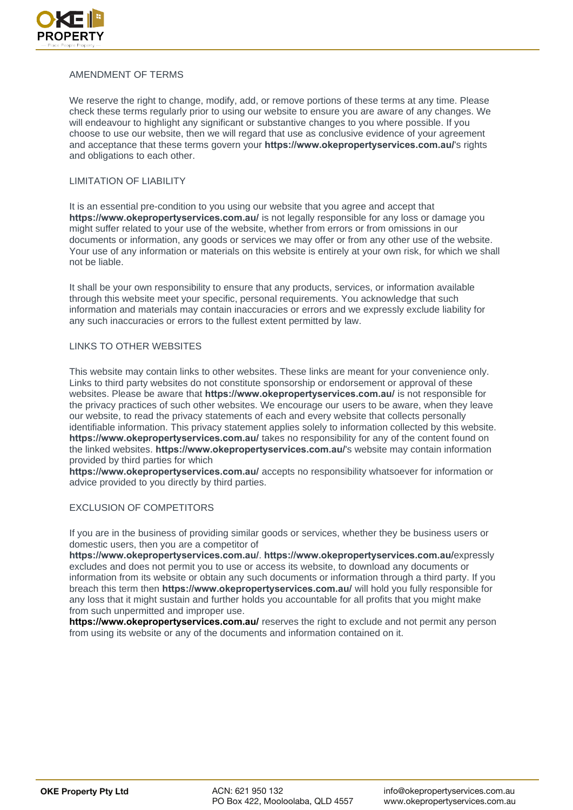

# AMENDMENT OF TERMS

We reserve the right to change, modify, add, or remove portions of these terms at any time. Please check these terms regularly prior to using our website to ensure you are aware of any changes. We will endeavour to highlight any significant or substantive changes to you where possible. If you choose to use our website, then we will regard that use as conclusive evidence of your agreement and acceptance that these terms govern your **https://www.okepropertyservices.com.au/**'s rights and obligations to each other.

#### LIMITATION OF LIABILITY

It is an essential pre-condition to you using our website that you agree and accept that **https://www.okepropertyservices.com.au/** is not legally responsible for any loss or damage you might suffer related to your use of the website, whether from errors or from omissions in our documents or information, any goods or services we may offer or from any other use of the website. Your use of any information or materials on this website is entirely at your own risk, for which we shall not be liable.

It shall be your own responsibility to ensure that any products, services, or information available through this website meet your specific, personal requirements. You acknowledge that such information and materials may contain inaccuracies or errors and we expressly exclude liability for any such inaccuracies or errors to the fullest extent permitted by law.

# LINKS TO OTHER WEBSITES

This website may contain links to other websites. These links are meant for your convenience only. Links to third party websites do not constitute sponsorship or endorsement or approval of these websites. Please be aware that **https://www.okepropertyservices.com.au/** is not responsible for the privacy practices of such other websites. We encourage our users to be aware, when they leave our website, to read the privacy statements of each and every website that collects personally identifiable information. This privacy statement applies solely to information collected by this website. **https://www.okepropertyservices.com.au/** takes no responsibility for any of the content found on the linked websites. **https://www.okepropertyservices.com.au/**'s website may contain information provided by third parties for which

**https://www.okepropertyservices.com.au/** accepts no responsibility whatsoever for information or advice provided to you directly by third parties.

# EXCLUSION OF COMPETITORS

If you are in the business of providing similar goods or services, whether they be business users or domestic users, then you are a competitor of

**https://www.okepropertyservices.com.au/**. **https://www.okepropertyservices.com.au/**expressly excludes and does not permit you to use or access its website, to download any documents or information from its website or obtain any such documents or information through a third party. If you breach this term then **https://www.okepropertyservices.com.au/** will hold you fully responsible for any loss that it might sustain and further holds you accountable for all profits that you might make from such unpermitted and improper use.

**[https://www.okepropertyservices.com.au/](https://www.bespokeinvestmentgroup.com.au/)** reserves the right to exclude and not permit any person from using its website or any of the documents and information contained on it.